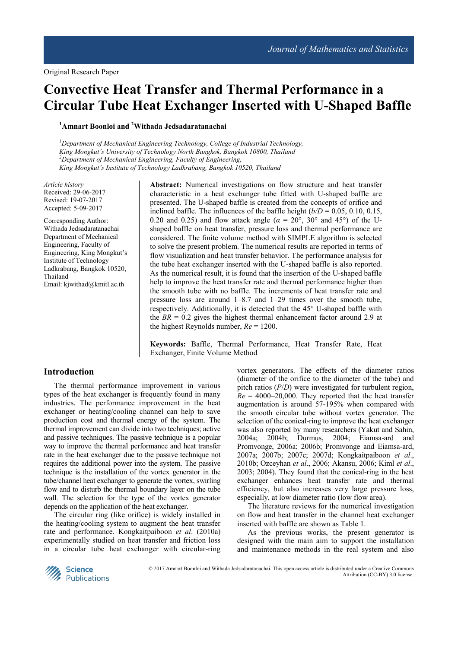# **Convective Heat Transfer and Thermal Performance in a Circular Tube Heat Exchanger Inserted with U-Shaped Baffle**

**<sup>1</sup>Amnart Boonloi and <sup>2</sup>Withada Jedsadaratanachai** 

*<sup>1</sup>Department of Mechanical Engineering Technology, College of Industrial Technology, King Mongkut's University of Technology North Bangkok, Bangkok 10800, Thailand <sup>2</sup>Department of Mechanical Engineering, Faculty of Engineering, King Mongkut's Institute of Technology Ladkrabang, Bangkok 10520, Thailand* 

*Article history*  Received: 29-06-2017 Revised: 19-07-2017 Accepted: 5-09-2017

Corresponding Author: Withada Jedsadaratanachai Department of Mechanical Engineering, Faculty of Engineering, King Mongkut's Institute of Technology Ladkrabang, Bangkok 10520, Thailand Email: kjwithad@kmitl.ac.th

**Abstract:** Numerical investigations on flow structure and heat transfer characteristic in a heat exchanger tube fitted with U-shaped baffle are presented. The U-shaped baffle is created from the concepts of orifice and inclined baffle. The influences of the baffle height  $(b/D = 0.05, 0.10, 0.15,$ 0.20 and 0.25) and flow attack angle ( $\alpha = 20^{\circ}$ , 30° and 45°) of the Ushaped baffle on heat transfer, pressure loss and thermal performance are considered. The finite volume method with SIMPLE algorithm is selected to solve the present problem. The numerical results are reported in terms of flow visualization and heat transfer behavior. The performance analysis for the tube heat exchanger inserted with the U-shaped baffle is also reported. As the numerical result, it is found that the insertion of the U-shaped baffle help to improve the heat transfer rate and thermal performance higher than the smooth tube with no baffle. The increments of heat transfer rate and pressure loss are around 1–8.7 and 1–29 times over the smooth tube, respectively. Additionally, it is detected that the 45° U-shaped baffle with the  $BR = 0.2$  gives the highest thermal enhancement factor around 2.9 at the highest Reynolds number, *Re* = 1200.

**Keywords:** Baffle, Thermal Performance, Heat Transfer Rate, Heat Exchanger, Finite Volume Method

## **Introduction**

The thermal performance improvement in various types of the heat exchanger is frequently found in many industries. The performance improvement in the heat exchanger or heating/cooling channel can help to save production cost and thermal energy of the system. The thermal improvement can divide into two techniques; active and passive techniques. The passive technique is a popular way to improve the thermal performance and heat transfer rate in the heat exchanger due to the passive technique not requires the additional power into the system. The passive technique is the installation of the vortex generator in the tube/channel heat exchanger to generate the vortex, swirling flow and to disturb the thermal boundary layer on the tube wall. The selection for the type of the vortex generator depends on the application of the heat exchanger.

The circular ring (like orifice) is widely installed in the heating/cooling system to augment the heat transfer rate and performance. Kongkaitpaiboon *et al*. (2010a) experimentally studied on heat transfer and friction loss in a circular tube heat exchanger with circular-ring

vortex generators. The effects of the diameter ratios (diameter of the orifice to the diameter of the tube) and pitch ratios (*P*/*D*) were investigated for turbulent region,  $Re = 4000-20,000$ . They reported that the heat transfer augmentation is around 57-195% when compared with the smooth circular tube without vortex generator. The selection of the conical-ring to improve the heat exchanger was also reported by many researchers (Yakut and Sahin, 2004a; 2004b; Durmus, 2004; Eiamsa-ard and Promvonge, 2006a; 2006b; Promvonge and Eiamsa-ard, 2007a; 2007b; 2007c; 2007d; Kongkaitpaiboon *et al*., 2010b; Ozceyhan *et al*., 2006; Akansu, 2006; Kiml *et al*., 2003; 2004). They found that the conical-ring in the heat exchanger enhances heat transfer rate and thermal efficiency, but also increases very large pressure loss, especially, at low diameter ratio (low flow area).

The literature reviews for the numerical investigation on flow and heat transfer in the channel heat exchanger inserted with baffle are shown as Table 1.

As the previous works, the present generator is designed with the main aim to support the installation and maintenance methods in the real system and also



 © 2017 Amnart Boonloi and Withada Jedsadaratanachai. This open access article is distributed under a Creative Commons Attribution (CC-BY) 3.0 license.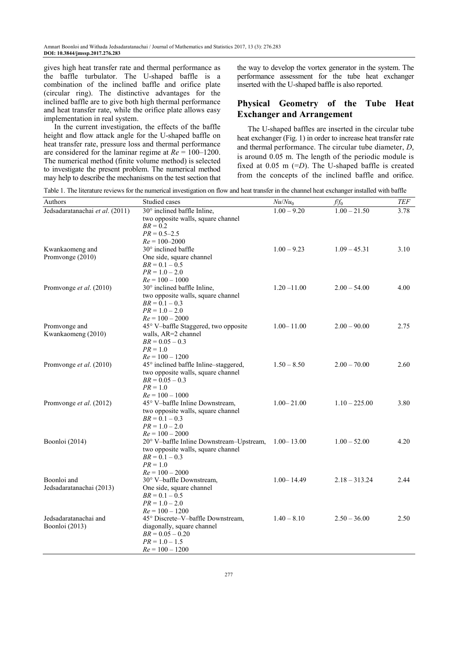gives high heat transfer rate and thermal performance as the baffle turbulator. The U-shaped baffle is a combination of the inclined baffle and orifice plate (circular ring). The distinctive advantages for the inclined baffle are to give both high thermal performance and heat transfer rate, while the orifice plate allows easy implementation in real system.

In the current investigation, the effects of the baffle height and flow attack angle for the U-shaped baffle on heat transfer rate, pressure loss and thermal performance are considered for the laminar regime at *Re* = 100–1200. The numerical method (finite volume method) is selected to investigate the present problem. The numerical method may help to describe the mechanisms on the test section that the way to develop the vortex generator in the system. The performance assessment for the tube heat exchanger inserted with the U-shaped baffle is also reported.

# **Physical Geometry of the Tube Heat Exchanger and Arrangement**

The U-shaped baffles are inserted in the circular tube heat exchanger (Fig. 1) in order to increase heat transfer rate and thermal performance. The circular tube diameter, *D*, is around 0.05 m. The length of the periodic module is fixed at 0.05 m (=*D*). The U-shaped baffle is created from the concepts of the inclined baffle and orifice.

Table 1. The literature reviews for the numerical investigation on flow and heat transfer in the channel heat exchanger installed with baffle

| Authors                                 | Studied cases                                             | $Nu/Nu_0$      | $f/f_0$         | <b>TEF</b> |
|-----------------------------------------|-----------------------------------------------------------|----------------|-----------------|------------|
| Jedsadaratanachai et al. (2011)         | 30° inclined baffle Inline,                               | $1.00 - 9.20$  | $1.00 - 21.50$  | 3.78       |
|                                         | two opposite walls, square channel                        |                |                 |            |
|                                         | $BR = 0.2$                                                |                |                 |            |
|                                         | $PR = 0.5 - 2.5$                                          |                |                 |            |
|                                         | $Re = 100 - 2000$                                         |                |                 |            |
| Kwankaomeng and                         | 30° inclined baffle                                       | $1.00 - 9.23$  | $1.09 - 45.31$  | 3.10       |
| Promvonge (2010)                        | One side, square channel                                  |                |                 |            |
|                                         | $BR = 0.1 - 0.5$                                          |                |                 |            |
|                                         | $PR = 1.0 - 2.0$                                          |                |                 |            |
|                                         | $Re = 100 - 1000$                                         |                |                 |            |
| Promvonge et al. (2010)                 | 30° inclined baffle Inline,                               | $1.20 - 11.00$ | $2.00 - 54.00$  | 4.00       |
|                                         | two opposite walls, square channel                        |                |                 |            |
|                                         | $BR = 0.1 - 0.3$                                          |                |                 |            |
|                                         | $PR = 1.0 - 2.0$                                          |                |                 |            |
|                                         | $Re = 100 - 2000$<br>45° V-baffle Staggered, two opposite | $1.00 - 11.00$ | $2.00 - 90.00$  | 2.75       |
| Promvonge and<br>Kwankaomeng (2010)     | walls, AR=2 channel                                       |                |                 |            |
|                                         | $BR = 0.05 - 0.3$                                         |                |                 |            |
|                                         | $PR = 1.0$                                                |                |                 |            |
|                                         | $Re = 100 - 1200$                                         |                |                 |            |
| Promvonge et al. (2010)                 | 45° inclined baffle Inline-staggered,                     | $1.50 - 8.50$  | $2.00 - 70.00$  | 2.60       |
|                                         | two opposite walls, square channel                        |                |                 |            |
|                                         | $BR = 0.05 - 0.3$                                         |                |                 |            |
|                                         | $PR = 1.0$                                                |                |                 |            |
|                                         | $Re = 100 - 1000$                                         |                |                 |            |
| Promvonge et al. (2012)                 | 45° V-baffle Inline Downstream,                           | $1.00 - 21.00$ | $1.10 - 225.00$ | 3.80       |
|                                         | two opposite walls, square channel                        |                |                 |            |
|                                         | $BR = 0.1 - 0.3$                                          |                |                 |            |
|                                         | $PR = 1.0 - 2.0$                                          |                |                 |            |
|                                         | $Re = 100 - 2000$                                         |                |                 |            |
| Boonloi (2014)                          | 20° V-baffle Inline Downstream-Upstream, 1.00-13.00       |                | $1.00 - 52.00$  | 4.20       |
|                                         | two opposite walls, square channel                        |                |                 |            |
|                                         | $BR = 0.1 - 0.3$                                          |                |                 |            |
|                                         | $PR = 1.0$                                                |                |                 |            |
|                                         | $Re = 100 - 2000$                                         |                |                 |            |
| Boonloi and                             | 30° V-baffle Downstream,                                  | $1.00 - 14.49$ | $2.18 - 313.24$ | 2.44       |
| Jedsadaratanachai (2013)                | One side, square channel                                  |                |                 |            |
|                                         | $BR = 0.1 - 0.5$                                          |                |                 |            |
|                                         | $PR = 1.0 - 2.0$                                          |                |                 |            |
|                                         | $Re = 100 - 1200$                                         |                |                 |            |
| Jedsadaratanachai and<br>Boonloi (2013) | 45° Discrete-V-baffle Downstream,                         | $1.40 - 8.10$  | $2.50 - 36.00$  | 2.50       |
|                                         | diagonally, square channel                                |                |                 |            |
|                                         | $BR = 0.05 - 0.20$                                        |                |                 |            |
|                                         | $PR = 1.0 - 1.5$                                          |                |                 |            |
|                                         | $Re = 100 - 1200$                                         |                |                 |            |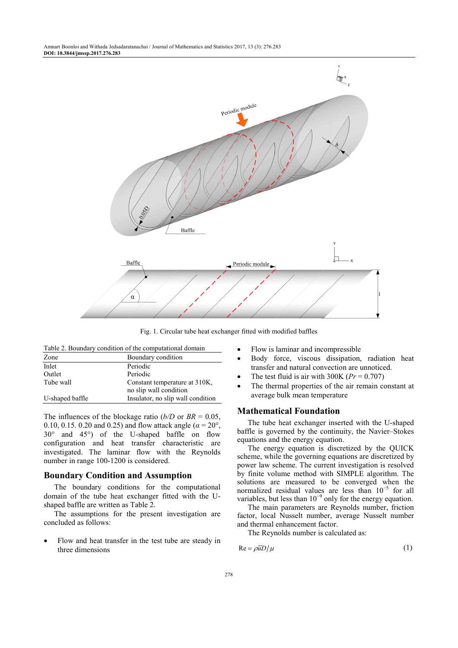

Fig. 1. Circular tube heat exchanger fitted with modified baffles

| Table 2. Boundary condition of the computational domain |  |
|---------------------------------------------------------|--|
|---------------------------------------------------------|--|

| Boundary condition                                      |  |
|---------------------------------------------------------|--|
| Periodic                                                |  |
| Periodic                                                |  |
| Constant temperature at 310K,<br>no slip wall condition |  |
| Insulator, no slip wall condition                       |  |
|                                                         |  |

The influences of the blockage ratio ( $b/D$  or  $BR = 0.05$ , 0.10, 0.15. 0.20 and 0.25) and flow attack angle (*α* = 20°, 30° and 45°) of the U-shaped baffle on flow configuration and heat transfer characteristic are investigated. The laminar flow with the Reynolds number in range 100-1200 is considered.

## **Boundary Condition and Assumption**

The boundary conditions for the computational domain of the tube heat exchanger fitted with the Ushaped baffle are written as Table 2.

The assumptions for the present investigation are concluded as follows:

• Flow and heat transfer in the test tube are steady in three dimensions

- Flow is laminar and incompressible
- Body force, viscous dissipation, radiation heat transfer and natural convection are unnoticed.
- The test fluid is air with  $300K$  ( $Pr = 0.707$ )
- The thermal properties of the air remain constant at average bulk mean temperature

## **Mathematical Foundation**

The tube heat exchanger inserted with the U-shaped baffle is governed by the continuity, the Navier–Stokes equations and the energy equation.

The energy equation is discretized by the QUICK scheme, while the governing equations are discretized by power law scheme. The current investigation is resolved by finite volume method with SIMPLE algorithm. The solutions are measured to be converged when the normalized residual values are less than  $10^{-5}$  for all variables, but less than  $10^{-9}$  only for the energy equation.

The main parameters are Reynolds number, friction factor, local Nusselt number, average Nusselt number and thermal enhancement factor.

The Reynolds number is calculated as:

$$
Re = \rho \overline{u} D / \mu \tag{1}
$$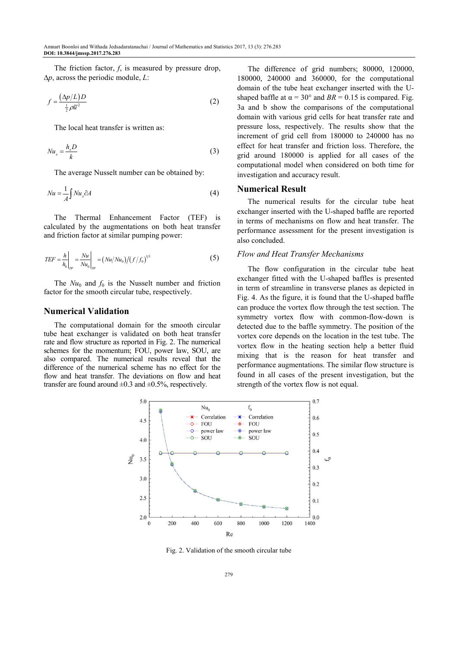The friction factor, *f*, is measured by pressure drop, ∆*p*, across the periodic module, *L*:

$$
f = \frac{(\Delta p/L)D}{\frac{1}{2}\rho \overline{u}^2}
$$
 (2)

The local heat transfer is written as:

$$
Nu_x = \frac{h_x D}{k} \tag{3}
$$

The average Nusselt number can be obtained by:

$$
Nu = \frac{1}{A} \int Nu_x \partial A \tag{4}
$$

The Thermal Enhancement Factor (TEF) is calculated by the augmentations on both heat transfer and friction factor at similar pumping power:

$$
TEF = \frac{h}{h_0}\bigg|_{pp} = \frac{Nu}{Nu_0}\bigg|_{pp} = (Nu/Nu_0)/(f/f_0)^{1/3}
$$
 (5)

The  $Nu_0$  and  $f_0$  is the Nusselt number and friction factor for the smooth circular tube, respectively.

## **Numerical Validation**

The computational domain for the smooth circular tube heat exchanger is validated on both heat transfer rate and flow structure as reported in Fig. 2. The numerical schemes for the momentum; FOU, power law, SOU, are also compared. The numerical results reveal that the difference of the numerical scheme has no effect for the flow and heat transfer. The deviations on flow and heat transfer are found around  $\pm 0.3$  and  $\pm 0.5$ %, respectively.

The difference of grid numbers; 80000, 120000, 180000, 240000 and 360000, for the computational domain of the tube heat exchanger inserted with the Ushaped baffle at  $\alpha = 30^{\circ}$  and  $BR = 0.15$  is compared. Fig. 3a and b show the comparisons of the computational domain with various grid cells for heat transfer rate and pressure loss, respectively. The results show that the increment of grid cell from 180000 to 240000 has no effect for heat transfer and friction loss. Therefore, the grid around 180000 is applied for all cases of the computational model when considered on both time for investigation and accuracy result.

## **Numerical Result**

The numerical results for the circular tube heat exchanger inserted with the U-shaped baffle are reported in terms of mechanisms on flow and heat transfer. The performance assessment for the present investigation is also concluded.

#### *Flow and Heat Transfer Mechanisms*

The flow configuration in the circular tube heat exchanger fitted with the U-shaped baffles is presented in term of streamline in transverse planes as depicted in Fig. 4. As the figure, it is found that the U-shaped baffle can produce the vortex flow through the test section. The symmetry vortex flow with common-flow-down is detected due to the baffle symmetry. The position of the vortex core depends on the location in the test tube. The vortex flow in the heating section help a better fluid mixing that is the reason for heat transfer and performance augmentations. The similar flow structure is found in all cases of the present investigation, but the strength of the vortex flow is not equal.



Fig. 2. Validation of the smooth circular tube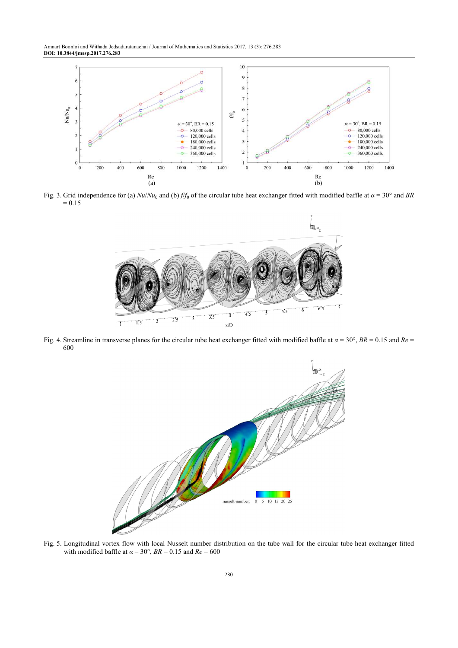Amnart Boonloi and Withada Jedsadaratanachai / Journal of Mathematics and Statistics 2017, 13 (3): 276.283 **DOI: 10.3844/jmssp.2017.276.283** 



Fig. 3. Grid independence for (a)  $Nu/Nu_0$  and (b) *f*/*f*<sub>0</sub> of the circular tube heat exchanger fitted with modified baffle at  $\alpha$  = 30° and *BR*  $= 0.15$ 



Fig. 4. Streamline in transverse planes for the circular tube heat exchanger fitted with modified baffle at *α* = 30°, *BR* = 0.15 and *Re* = 600



Fig. 5. Longitudinal vortex flow with local Nusselt number distribution on the tube wall for the circular tube heat exchanger fitted with modified baffle at  $\alpha = 30^{\circ}$ ,  $BR = 0.15$  and  $Re = 600$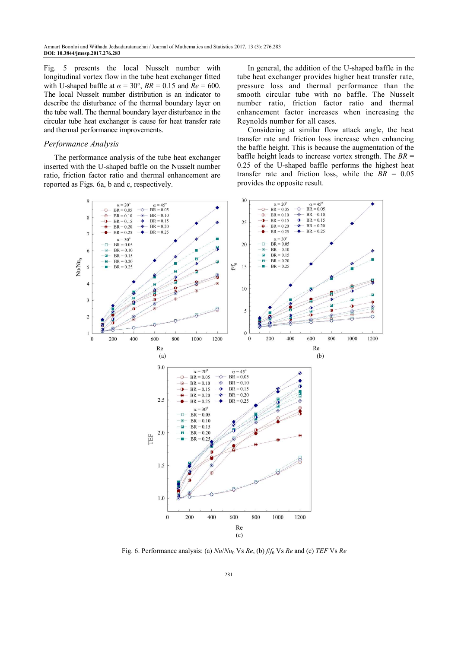Fig. 5 presents the local Nusselt number with longitudinal vortex flow in the tube heat exchanger fitted with U-shaped baffle at  $\alpha = 30^{\circ}$ ,  $BR = 0.15$  and  $\overline{Re} = 600$ . The local Nusselt number distribution is an indicator to describe the disturbance of the thermal boundary layer on the tube wall. The thermal boundary layer disturbance in the circular tube heat exchanger is cause for heat transfer rate and thermal performance improvements.

#### *Performance Analysis*

The performance analysis of the tube heat exchanger inserted with the U-shaped baffle on the Nusselt number ratio, friction factor ratio and thermal enhancement are reported as Figs. 6a, b and c, respectively.

In general, the addition of the U-shaped baffle in the tube heat exchanger provides higher heat transfer rate, pressure loss and thermal performance than the smooth circular tube with no baffle. The Nusselt number ratio, friction factor ratio and thermal enhancement factor increases when increasing the Reynolds number for all cases.

Considering at similar flow attack angle, the heat transfer rate and friction loss increase when enhancing the baffle height. This is because the augmentation of the baffle height leads to increase vortex strength. The *BR* = 0.25 of the U-shaped baffle performs the highest heat transfer rate and friction loss, while the  $\overline{BR}$  = 0.05 provides the opposite result.



Fig. 6. Performance analysis: (a) *Nu*/*Nu*<sup>0</sup> Vs *Re*, (b) *f*/*f*<sup>0</sup> Vs *Re* and (c) *TEF* Vs *Re*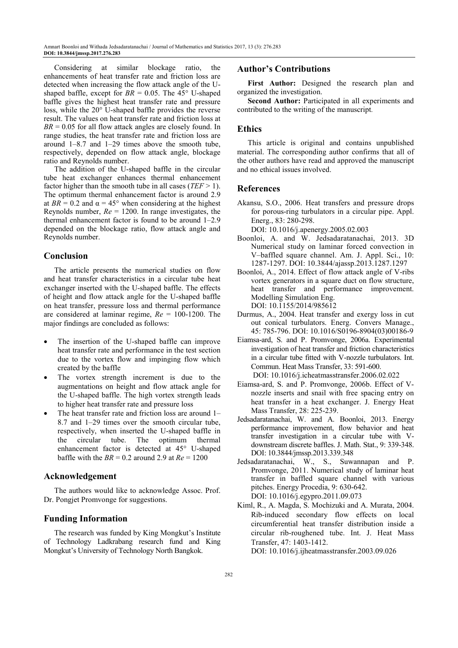Considering at similar blockage ratio, the enhancements of heat transfer rate and friction loss are detected when increasing the flow attack angle of the Ushaped baffle, except for  $BR = 0.05$ . The  $45^{\circ}$  U-shaped baffle gives the highest heat transfer rate and pressure loss, while the 20° U-shaped baffle provides the reverse result. The values on heat transfer rate and friction loss at  $BR = 0.05$  for all flow attack angles are closely found. In range studies, the heat transfer rate and friction loss are around 1–8.7 and 1–29 times above the smooth tube, respectively, depended on flow attack angle, blockage ratio and Reynolds number.

The addition of the U-shaped baffle in the circular tube heat exchanger enhances thermal enhancement factor higher than the smooth tube in all cases (*TEF* > 1). The optimum thermal enhancement factor is around 2.9 at  $BR = 0.2$  and  $\alpha = 45^{\circ}$  when considering at the highest Reynolds number, *Re* = 1200. In range investigates, the thermal enhancement factor is found to be around 1–2.9 depended on the blockage ratio, flow attack angle and Reynolds number.

# **Conclusion**

The article presents the numerical studies on flow and heat transfer characteristics in a circular tube heat exchanger inserted with the U-shaped baffle. The effects of height and flow attack angle for the U-shaped baffle on heat transfer, pressure loss and thermal performance are considered at laminar regime, *Re* = 100-1200. The major findings are concluded as follows:

- The insertion of the U-shaped baffle can improve heat transfer rate and performance in the test section due to the vortex flow and impinging flow which created by the baffle
- The vortex strength increment is due to the augmentations on height and flow attack angle for the U-shaped baffle. The high vortex strength leads to higher heat transfer rate and pressure loss
- The heat transfer rate and friction loss are around 1– 8.7 and 1–29 times over the smooth circular tube, respectively, when inserted the U-shaped baffle in the circular tube. The optimum thermal enhancement factor is detected at 45° U-shaped baffle with the  $BR = 0.2$  around 2.9 at  $Re = 1200$

# **Acknowledgement**

The authors would like to acknowledge Assoc. Prof. Dr. Pongjet Promvonge for suggestions.

## **Funding Information**

The research was funded by King Mongkut's Institute of Technology Ladkrabang research fund and King Mongkut's University of Technology North Bangkok.

## **Author's Contributions**

First Author: Designed the research plan and organized the investigation.

**Second Author:** Participated in all experiments and contributed to the writing of the manuscript.

# **Ethics**

This article is original and contains unpublished material. The corresponding author confirms that all of the other authors have read and approved the manuscript and no ethical issues involved.

# **References**

- Akansu, S.O., 2006. Heat transfers and pressure drops for porous-ring turbulators in a circular pipe. Appl. Energ., 83: 280-298.
	- DOI: 10.1016/j.apenergy.2005.02.003
- Boonloi, A. and W. Jedsadaratanachai, 2013. 3D Numerical study on laminar forced convection in V–baffled square channel. Am. J. Appl. Sci., 10: 1287-1297. DOI: 10.3844/ajassp.2013.1287.1297
- Boonloi, A., 2014. Effect of flow attack angle of V-ribs vortex generators in a square duct on flow structure, heat transfer and performance improvement. Modelling Simulation Eng. DOI: 10.1155/2014/985612
- Durmus, A., 2004. Heat transfer and exergy loss in cut out conical turbulators. Energ. Convers Manage., 45: 785-796. DOI: 10.1016/S0196-8904(03)00186-9
- Eiamsa-ard, S. and P. Promvonge, 2006a. Experimental investigation of heat transfer and friction characteristics in a circular tube fitted with V-nozzle turbulators. Int. Commun. Heat Mass Transfer, 33: 591-600. DOI: 10.1016/j.icheatmasstransfer.2006.02.022
- Eiamsa-ard, S. and P. Promvonge, 2006b. Effect of Vnozzle inserts and snail with free spacing entry on heat transfer in a heat exchanger. J. Energy Heat Mass Transfer, 28: 225-239.
- Jedsadaratanachai, W. and A. Boonloi, 2013. Energy performance improvement, flow behavior and heat transfer investigation in a circular tube with Vdownstream discrete baffles. J. Math. Stat., 9: 339-348. DOI: 10.3844/jmssp.2013.339.348
- Jedsadaratanachai, W., S., Suwannapan and P. Promvonge, 2011. Numerical study of laminar heat transfer in baffled square channel with various pitches. Energy Procedia, 9: 630-642. DOI: 10.1016/j.egypro.2011.09.073
- Kiml, R., A. Magda, S. Mochizuki and A. Murata, 2004. Rib-induced secondary flow effects on local circumferential heat transfer distribution inside a circular rib-roughened tube. Int. J. Heat Mass Transfer, 47: 1403-1412.

DOI: 10.1016/j.ijheatmasstransfer.2003.09.026